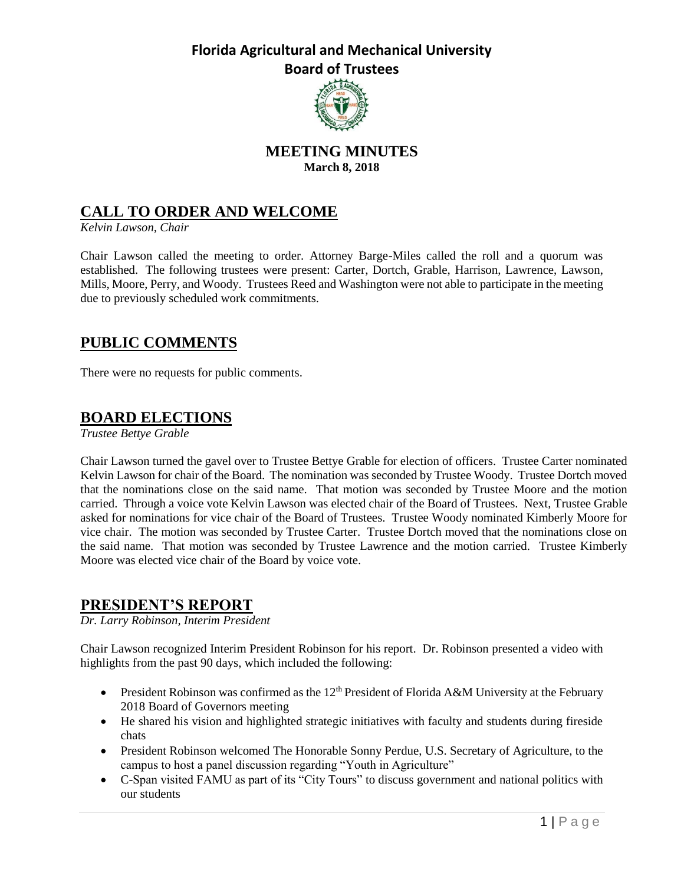

### **MEETING MINUTES March 8, 2018**

## **CALL TO ORDER AND WELCOME**

*Kelvin Lawson, Chair*

Chair Lawson called the meeting to order. Attorney Barge-Miles called the roll and a quorum was established. The following trustees were present: Carter, Dortch, Grable, Harrison, Lawrence, Lawson, Mills, Moore, Perry, and Woody. Trustees Reed and Washington were not able to participate in the meeting due to previously scheduled work commitments.

## **PUBLIC COMMENTS**

There were no requests for public comments.

## **BOARD ELECTIONS**

*Trustee Bettye Grable*

Chair Lawson turned the gavel over to Trustee Bettye Grable for election of officers. Trustee Carter nominated Kelvin Lawson for chair of the Board. The nomination was seconded by Trustee Woody. Trustee Dortch moved that the nominations close on the said name. That motion was seconded by Trustee Moore and the motion carried. Through a voice vote Kelvin Lawson was elected chair of the Board of Trustees. Next, Trustee Grable asked for nominations for vice chair of the Board of Trustees. Trustee Woody nominated Kimberly Moore for vice chair. The motion was seconded by Trustee Carter. Trustee Dortch moved that the nominations close on the said name. That motion was seconded by Trustee Lawrence and the motion carried. Trustee Kimberly Moore was elected vice chair of the Board by voice vote.

### **PRESIDENT'S REPORT**

*Dr. Larry Robinson, Interim President*

Chair Lawson recognized Interim President Robinson for his report. Dr. Robinson presented a video with highlights from the past 90 days, which included the following:

- **•** President Robinson was confirmed as the  $12<sup>th</sup>$  President of Florida A&M University at the February 2018 Board of Governors meeting
- He shared his vision and highlighted strategic initiatives with faculty and students during fireside chats
- President Robinson welcomed The Honorable Sonny Perdue, U.S. Secretary of Agriculture, to the campus to host a panel discussion regarding "Youth in Agriculture"
- C-Span visited FAMU as part of its "City Tours" to discuss government and national politics with our students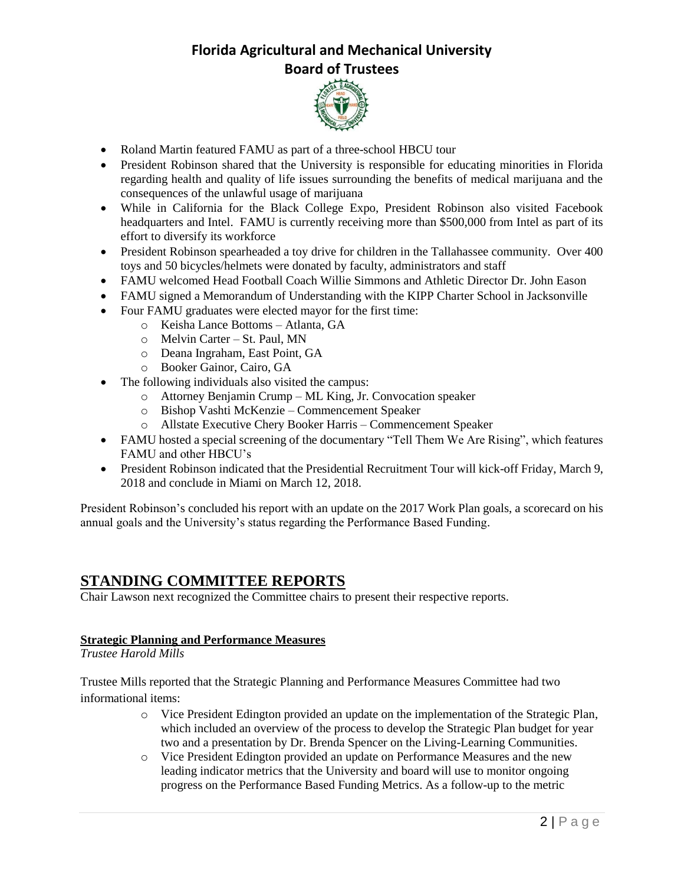

- Roland Martin featured FAMU as part of a three-school HBCU tour
- President Robinson shared that the University is responsible for educating minorities in Florida regarding health and quality of life issues surrounding the benefits of medical marijuana and the consequences of the unlawful usage of marijuana
- While in California for the Black College Expo, President Robinson also visited Facebook headquarters and Intel. FAMU is currently receiving more than \$500,000 from Intel as part of its effort to diversify its workforce
- President Robinson spearheaded a toy drive for children in the Tallahassee community. Over 400 toys and 50 bicycles/helmets were donated by faculty, administrators and staff
- FAMU welcomed Head Football Coach Willie Simmons and Athletic Director Dr. John Eason
- FAMU signed a Memorandum of Understanding with the KIPP Charter School in Jacksonville
- Four FAMU graduates were elected mayor for the first time:
	- o Keisha Lance Bottoms Atlanta, GA
	- o Melvin Carter St. Paul, MN
	- o Deana Ingraham, East Point, GA
	- o Booker Gainor, Cairo, GA
- The following individuals also visited the campus:
	- o Attorney Benjamin Crump ML King, Jr. Convocation speaker
	- o Bishop Vashti McKenzie Commencement Speaker
	- o Allstate Executive Chery Booker Harris Commencement Speaker
- FAMU hosted a special screening of the documentary "Tell Them We Are Rising", which features FAMU and other HBCU's
- President Robinson indicated that the Presidential Recruitment Tour will kick-off Friday, March 9, 2018 and conclude in Miami on March 12, 2018.

President Robinson's concluded his report with an update on the 2017 Work Plan goals, a scorecard on his annual goals and the University's status regarding the Performance Based Funding.

### **STANDING COMMITTEE REPORTS**

Chair Lawson next recognized the Committee chairs to present their respective reports.

### **Strategic Planning and Performance Measures**

*Trustee Harold Mills*

Trustee Mills reported that the Strategic Planning and Performance Measures Committee had two informational items:

- o Vice President Edington provided an update on the implementation of the Strategic Plan, which included an overview of the process to develop the Strategic Plan budget for year two and a presentation by Dr. Brenda Spencer on the Living-Learning Communities.
- o Vice President Edington provided an update on Performance Measures and the new leading indicator metrics that the University and board will use to monitor ongoing progress on the Performance Based Funding Metrics. As a follow-up to the metric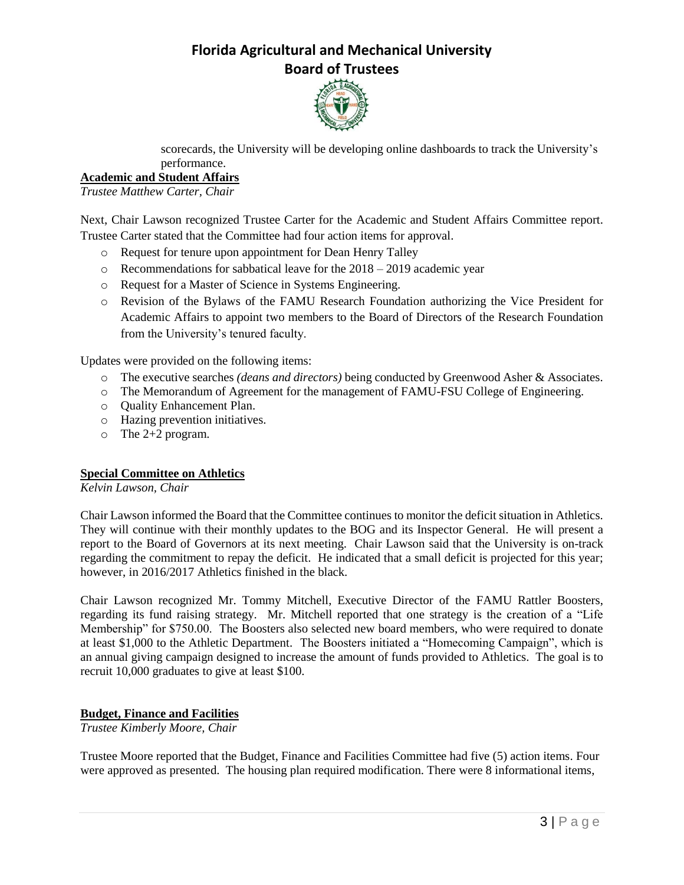

scorecards, the University will be developing online dashboards to track the University's performance.

### **Academic and Student Affairs**

*Trustee Matthew Carter, Chair*

Next, Chair Lawson recognized Trustee Carter for the Academic and Student Affairs Committee report. Trustee Carter stated that the Committee had four action items for approval.

- o Request for tenure upon appointment for Dean Henry Talley
- o Recommendations for sabbatical leave for the 2018 2019 academic year
- o Request for a Master of Science in Systems Engineering.
- o Revision of the Bylaws of the FAMU Research Foundation authorizing the Vice President for Academic Affairs to appoint two members to the Board of Directors of the Research Foundation from the University's tenured faculty.

Updates were provided on the following items:

- o The executive searches *(deans and directors)* being conducted by Greenwood Asher & Associates.
- o The Memorandum of Agreement for the management of FAMU-FSU College of Engineering.
- o Quality Enhancement Plan.
- o Hazing prevention initiatives.
- o The 2+2 program.

#### **Special Committee on Athletics**

*Kelvin Lawson, Chair*

Chair Lawson informed the Board that the Committee continues to monitor the deficit situation in Athletics. They will continue with their monthly updates to the BOG and its Inspector General. He will present a report to the Board of Governors at its next meeting. Chair Lawson said that the University is on-track regarding the commitment to repay the deficit. He indicated that a small deficit is projected for this year; however, in 2016/2017 Athletics finished in the black.

Chair Lawson recognized Mr. Tommy Mitchell, Executive Director of the FAMU Rattler Boosters, regarding its fund raising strategy. Mr. Mitchell reported that one strategy is the creation of a "Life Membership" for \$750.00. The Boosters also selected new board members, who were required to donate at least \$1,000 to the Athletic Department. The Boosters initiated a "Homecoming Campaign", which is an annual giving campaign designed to increase the amount of funds provided to Athletics. The goal is to recruit 10,000 graduates to give at least \$100.

#### **Budget, Finance and Facilities**

*Trustee Kimberly Moore, Chair*

Trustee Moore reported that the Budget, Finance and Facilities Committee had five (5) action items. Four were approved as presented. The housing plan required modification. There were 8 informational items,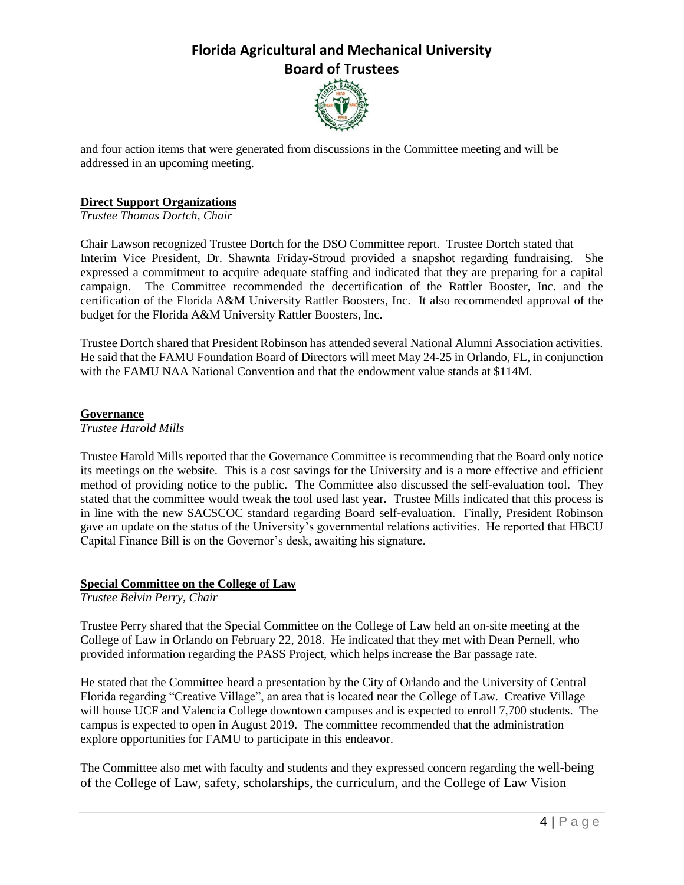

and four action items that were generated from discussions in the Committee meeting and will be addressed in an upcoming meeting.

#### **Direct Support Organizations**

*Trustee Thomas Dortch, Chair*

Chair Lawson recognized Trustee Dortch for the DSO Committee report. Trustee Dortch stated that Interim Vice President, Dr. Shawnta Friday-Stroud provided a snapshot regarding fundraising. She expressed a commitment to acquire adequate staffing and indicated that they are preparing for a capital campaign. The Committee recommended the decertification of the Rattler Booster, Inc. and the certification of the Florida A&M University Rattler Boosters, Inc. It also recommended approval of the budget for the Florida A&M University Rattler Boosters, Inc.

Trustee Dortch shared that President Robinson has attended several National Alumni Association activities. He said that the FAMU Foundation Board of Directors will meet May 24-25 in Orlando, FL, in conjunction with the FAMU NAA National Convention and that the endowment value stands at \$114M.

#### **Governance**

#### *Trustee Harold Mills*

Trustee Harold Mills reported that the Governance Committee is recommending that the Board only notice its meetings on the website. This is a cost savings for the University and is a more effective and efficient method of providing notice to the public. The Committee also discussed the self-evaluation tool. They stated that the committee would tweak the tool used last year. Trustee Mills indicated that this process is in line with the new SACSCOC standard regarding Board self-evaluation. Finally, President Robinson gave an update on the status of the University's governmental relations activities. He reported that HBCU Capital Finance Bill is on the Governor's desk, awaiting his signature.

#### **Special Committee on the College of Law**

*Trustee Belvin Perry, Chair*

Trustee Perry shared that the Special Committee on the College of Law held an on-site meeting at the College of Law in Orlando on February 22, 2018. He indicated that they met with Dean Pernell, who provided information regarding the PASS Project, which helps increase the Bar passage rate.

He stated that the Committee heard a presentation by the City of Orlando and the University of Central Florida regarding "Creative Village", an area that is located near the College of Law. Creative Village will house UCF and Valencia College downtown campuses and is expected to enroll 7,700 students. The campus is expected to open in August 2019. The committee recommended that the administration explore opportunities for FAMU to participate in this endeavor.

The Committee also met with faculty and students and they expressed concern regarding the well-being of the College of Law, safety, scholarships, the curriculum, and the College of Law Vision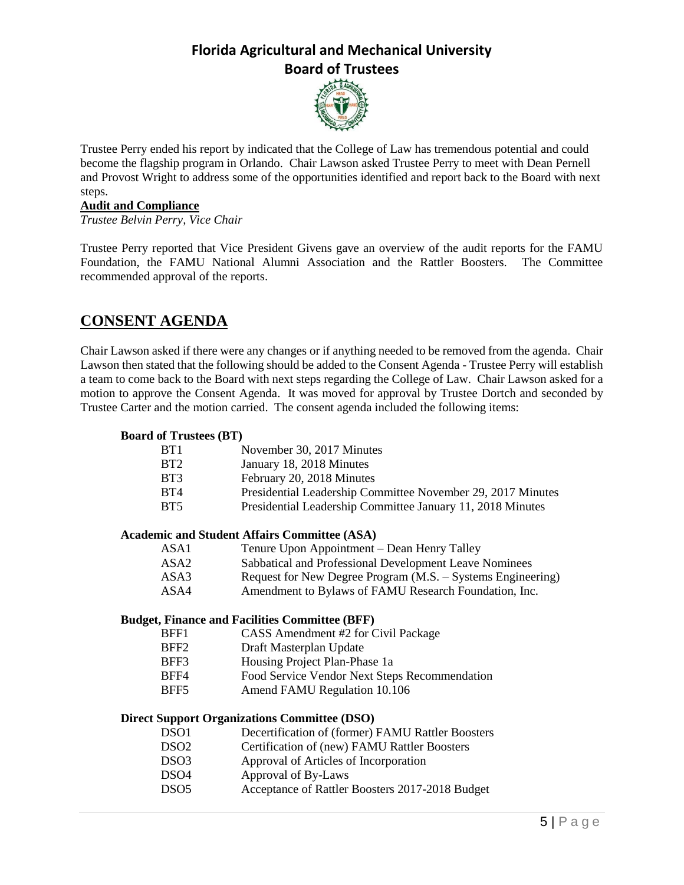

Trustee Perry ended his report by indicated that the College of Law has tremendous potential and could become the flagship program in Orlando. Chair Lawson asked Trustee Perry to meet with Dean Pernell and Provost Wright to address some of the opportunities identified and report back to the Board with next steps.

#### **Audit and Compliance**

*Trustee Belvin Perry, Vice Chair*

Trustee Perry reported that Vice President Givens gave an overview of the audit reports for the FAMU Foundation, the FAMU National Alumni Association and the Rattler Boosters. The Committee recommended approval of the reports.

## **CONSENT AGENDA**

Chair Lawson asked if there were any changes or if anything needed to be removed from the agenda. Chair Lawson then stated that the following should be added to the Consent Agenda - Trustee Perry will establish a team to come back to the Board with next steps regarding the College of Law. Chair Lawson asked for a motion to approve the Consent Agenda. It was moved for approval by Trustee Dortch and seconded by Trustee Carter and the motion carried. The consent agenda included the following items:

#### **Board of Trustees (BT)**

| BT1              | November 30, 2017 Minutes                                   |
|------------------|-------------------------------------------------------------|
| BT2              | January 18, 2018 Minutes                                    |
| BT3              | February 20, 2018 Minutes                                   |
| BT4              | Presidential Leadership Committee November 29, 2017 Minutes |
| BT <sub>5</sub>  | Presidential Leadership Committee January 11, 2018 Minutes  |
|                  | <b>Academic and Student Affairs Committee (ASA)</b>         |
| ASA1             | Tenure Upon Appointment – Dean Henry Talley                 |
| ASA2             | Sabbatical and Professional Development Leave Nominees      |
| ASA3             | Request for New Degree Program (M.S. – Systems Engineering) |
| ASA4             | Amendment to Bylaws of FAMU Research Foundation, Inc.       |
|                  | <b>Budget, Finance and Facilities Committee (BFF)</b>       |
| BFF1             | CASS Amendment #2 for Civil Package                         |
| BFF <sub>2</sub> | Draft Masterplan Update                                     |
| BFF3             | Housing Project Plan-Phase 1a                               |
| BFF4             | Food Service Vendor Next Steps Recommendation               |
| BFF5             | Amend FAMU Regulation 10.106                                |
|                  | <b>Direct Support Organizations Committee (DSO)</b>         |
| DSO1             | Decertification of (former) FAMU Rattler Boosters           |
| DSO <sub>2</sub> | Certification of (new) FAMU Rattler Boosters                |
| DSO <sub>3</sub> | Approval of Articles of Incorporation                       |
| DSO <sub>4</sub> | Approval of By-Laws                                         |
| DSO <sub>5</sub> | Acceptance of Rattler Boosters 2017-2018 Budget             |